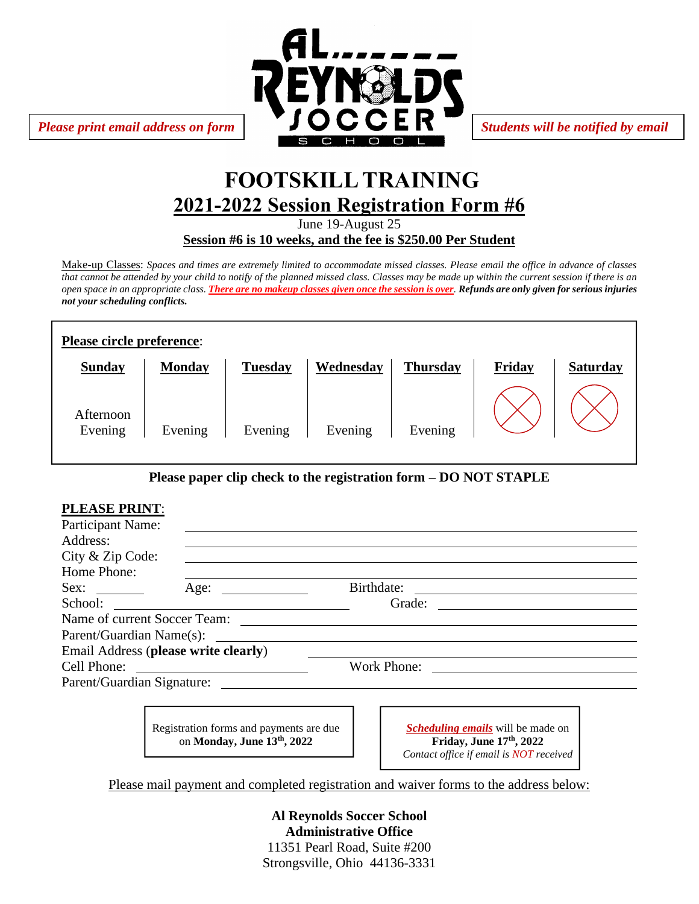

# **FOOTSKILL TRAINING 2021-2022 Session Registration Form #6**

June 19-August 25

**Session #6 is 10 weeks, and the fee is \$250.00 Per Student**

Make-up Classes: *Spaces and times are extremely limited to accommodate missed classes. Please email the office in advance of classes that cannot be attended by your child to notify of the planned missed class. Classes may be made up within the current session if there is an open space in an appropriate class. There are no makeup classes given once the session is over. Refunds are only given for serious injuries not your scheduling conflicts.*

| Please circle preference: |               |                |           |                 |        |                 |
|---------------------------|---------------|----------------|-----------|-----------------|--------|-----------------|
| <b>Sunday</b>             | <b>Monday</b> | <b>Tuesday</b> | Wednesday | <b>Thursday</b> | Friday | <b>Saturday</b> |
| Afternoon<br>Evening      | Evening       | Evening        | Evening   | Evening         |        |                 |

### **Please paper clip check to the registration form – DO NOT STAPLE**

| <b>PLEASE PRINT:</b> |                                         |                                                              |  |  |
|----------------------|-----------------------------------------|--------------------------------------------------------------|--|--|
| Participant Name:    |                                         |                                                              |  |  |
| Address:             |                                         |                                                              |  |  |
| City & Zip Code:     |                                         |                                                              |  |  |
| Home Phone:          |                                         |                                                              |  |  |
| Sex:                 | Age: $\qquad \qquad$                    | Birthdate:<br><u> 1980 - Jan Sterling Sterling (d. 1980)</u> |  |  |
|                      | School:                                 | Grade:                                                       |  |  |
|                      |                                         |                                                              |  |  |
|                      | Parent/Guardian Name(s):                |                                                              |  |  |
|                      | Email Address (please write clearly)    |                                                              |  |  |
| Cell Phone:          |                                         | Work Phone:                                                  |  |  |
|                      |                                         |                                                              |  |  |
|                      |                                         |                                                              |  |  |
|                      |                                         |                                                              |  |  |
|                      | Registration forms and payments are due | <i>Scheduling emails</i> will be made on                     |  |  |

on **Monday, June 13th, 2022**

*Scheduling emails* will be made on **Friday, June 17th, 2022** *Contact office if email is NOT received*

Please mail payment and completed registration and waiver forms to the address below:

**Al Reynolds Soccer School Administrative Office** 11351 Pearl Road, Suite #200 Strongsville, Ohio 44136-3331